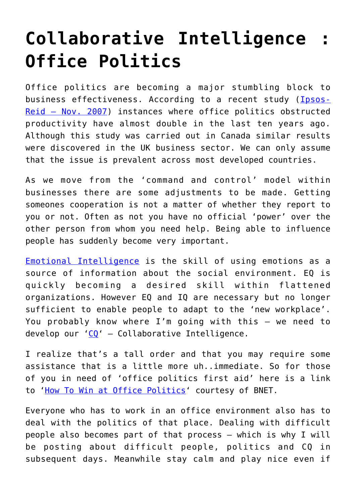## **[Collaborative Intelligence :](https://gettingclevertogether.com/uncategorized/collaborative-intelligence-office-politics/) [Office Politics](https://gettingclevertogether.com/uncategorized/collaborative-intelligence-office-politics/)**

Office politics are becoming a major stumbling block to business effectiveness. According to a recent study ([Ipsos-](http://http://www.workopolis.com/work.aspx?action=Transfer&View=Content/Common/ArticlesDetailView&articleId=sp20080428File1Article1&lang=EN&OldUrl=&cid=46E:19L:11321)[Reid – Nov. 2007](http://http://www.workopolis.com/work.aspx?action=Transfer&View=Content/Common/ArticlesDetailView&articleId=sp20080428File1Article1&lang=EN&OldUrl=&cid=46E:19L:11321)) instances where office politics obstructed productivity have almost double in the last ten years ago. Although this study was carried out in Canada similar results were discovered in the UK business sector. We can only assume that the issue is prevalent across most developed countries.

As we move from the 'command and control' model within businesses there are some adjustments to be made. Getting someones cooperation is not a matter of whether they report to you or not. Often as not you have no official 'power' over the other person from whom you need help. Being able to influence people has suddenly become very important.

[Emotional Intelligence](http://www.unh.edu/emotional_intelligence/) is the skill of using emotions as a source of information about the social environment. EQ is quickly becoming a desired skill within flattened organizations. However EQ and IQ are necessary but no longer sufficient to enable people to adapt to the 'new workplace'. You probably know where I'm going with this – we need to develop our ' $CQ'$  – Collaborative Intelligence.

I realize that's a tall order and that you may require some assistance that is a little more uh..immediate. So for those of you in need of 'office politics first aid' here is a link to ['How To Win at Office Politics'](http://www.bnet.com/2403-13070_23-93243.html) courtesy of BNET.

Everyone who has to work in an office environment also has to deal with the politics of that place. Dealing with difficult people also becomes part of that process – which is why I will be posting about difficult people, politics and CQ in subsequent days. Meanwhile stay calm and play nice even if